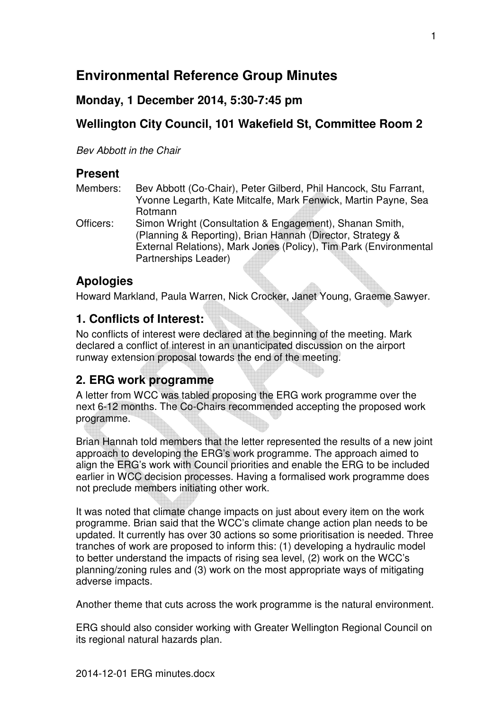# **Environmental Reference Group Minutes**

### **Monday, 1 December 2014, 5:30-7:45 pm**

## **Wellington City Council, 101 Wakefield St, Committee Room 2**

Bev Abbott in the Chair

### **Present**

| Members:  | Bev Abbott (Co-Chair), Peter Gilberd, Phil Hancock, Stu Farrant, |
|-----------|------------------------------------------------------------------|
|           | Yvonne Legarth, Kate Mitcalfe, Mark Fenwick, Martin Payne, Sea   |
|           | Rotmann                                                          |
| Officers: | Simon Wright (Consultation & Engagement), Shanan Smith,          |
|           | (Planning & Reporting), Brian Hannah (Director, Strategy &       |

External Relations), Mark Jones (Policy), Tim Park (Environmental Partnerships Leader)

## **Apologies**

Howard Markland, Paula Warren, Nick Crocker, Janet Young, Graeme Sawyer.

### **1. Conflicts of Interest:**

No conflicts of interest were declared at the beginning of the meeting. Mark declared a conflict of interest in an unanticipated discussion on the airport runway extension proposal towards the end of the meeting.

## **2. ERG work programme**

A letter from WCC was tabled proposing the ERG work programme over the next 6-12 months. The Co-Chairs recommended accepting the proposed work programme.

Brian Hannah told members that the letter represented the results of a new joint approach to developing the ERG's work programme. The approach aimed to align the ERG's work with Council priorities and enable the ERG to be included earlier in WCC decision processes. Having a formalised work programme does not preclude members initiating other work.

It was noted that climate change impacts on just about every item on the work programme. Brian said that the WCC's climate change action plan needs to be updated. It currently has over 30 actions so some prioritisation is needed. Three tranches of work are proposed to inform this: (1) developing a hydraulic model to better understand the impacts of rising sea level, (2) work on the WCC's planning/zoning rules and (3) work on the most appropriate ways of mitigating adverse impacts.

Another theme that cuts across the work programme is the natural environment.

ERG should also consider working with Greater Wellington Regional Council on its regional natural hazards plan.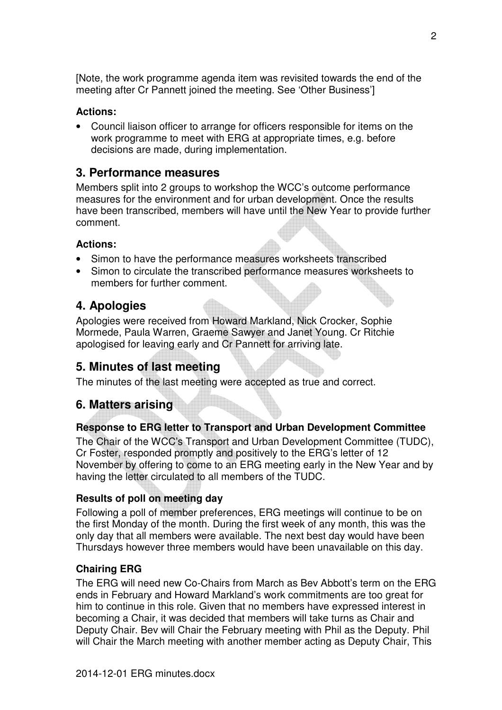[Note, the work programme agenda item was revisited towards the end of the meeting after Cr Pannett joined the meeting. See 'Other Business']

### **Actions:**

• Council liaison officer to arrange for officers responsible for items on the work programme to meet with ERG at appropriate times, e.g. before decisions are made, during implementation.

## **3. Performance measures**

Members split into 2 groups to workshop the WCC's outcome performance measures for the environment and for urban development. Once the results have been transcribed, members will have until the New Year to provide further comment.

### **Actions:**

- Simon to have the performance measures worksheets transcribed
- Simon to circulate the transcribed performance measures worksheets to members for further comment.

## **4. Apologies**

Apologies were received from Howard Markland, Nick Crocker, Sophie Mormede, Paula Warren, Graeme Sawyer and Janet Young. Cr Ritchie apologised for leaving early and Cr Pannett for arriving late.

## **5. Minutes of last meeting**

The minutes of the last meeting were accepted as true and correct.

## **6. Matters arising**

### **Response to ERG letter to Transport and Urban Development Committee**

The Chair of the WCC's Transport and Urban Development Committee (TUDC), Cr Foster, responded promptly and positively to the ERG's letter of 12 November by offering to come to an ERG meeting early in the New Year and by having the letter circulated to all members of the TUDC.

### **Results of poll on meeting day**

Following a poll of member preferences, ERG meetings will continue to be on the first Monday of the month. During the first week of any month, this was the only day that all members were available. The next best day would have been Thursdays however three members would have been unavailable on this day.

### **Chairing ERG**

The ERG will need new Co-Chairs from March as Bev Abbott's term on the ERG ends in February and Howard Markland's work commitments are too great for him to continue in this role. Given that no members have expressed interest in becoming a Chair, it was decided that members will take turns as Chair and Deputy Chair. Bev will Chair the February meeting with Phil as the Deputy. Phil will Chair the March meeting with another member acting as Deputy Chair, This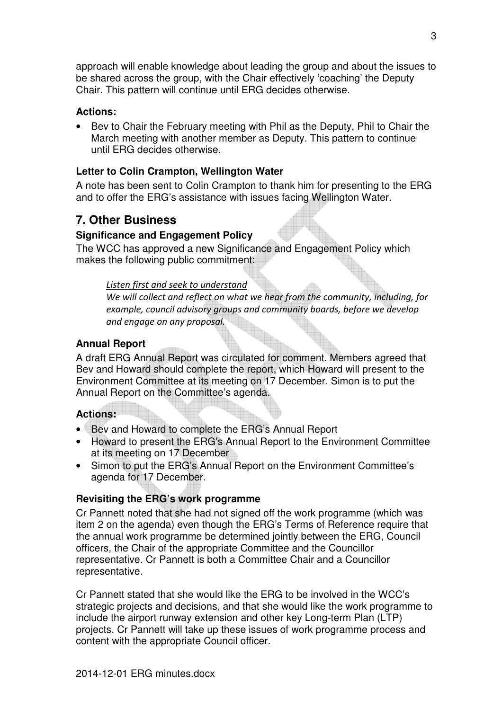approach will enable knowledge about leading the group and about the issues to be shared across the group, with the Chair effectively 'coaching' the Deputy Chair. This pattern will continue until ERG decides otherwise.

#### **Actions:**

• Bev to Chair the February meeting with Phil as the Deputy, Phil to Chair the March meeting with another member as Deputy. This pattern to continue until ERG decides otherwise.

### **Letter to Colin Crampton, Wellington Water**

A note has been sent to Colin Crampton to thank him for presenting to the ERG and to offer the ERG's assistance with issues facing Wellington Water.

### **7. Other Business**

#### **Significance and Engagement Policy**

The WCC has approved a new Significance and Engagement Policy which makes the following public commitment:

#### *Listen first and seek to understand*

*We will collect and reflect on what we hear from the community, including, for example, council advisory groups and community boards, before we develop and engage on any proposal.* 

#### **Annual Report**

A draft ERG Annual Report was circulated for comment. Members agreed that Bev and Howard should complete the report, which Howard will present to the Environment Committee at its meeting on 17 December. Simon is to put the Annual Report on the Committee's agenda.

#### **Actions:**

- Bev and Howard to complete the ERG's Annual Report
- Howard to present the ERG's Annual Report to the Environment Committee at its meeting on 17 December
- Simon to put the ERG's Annual Report on the Environment Committee's agenda for 17 December.

### **Revisiting the ERG's work programme**

Cr Pannett noted that she had not signed off the work programme (which was item 2 on the agenda) even though the ERG's Terms of Reference require that the annual work programme be determined jointly between the ERG, Council officers, the Chair of the appropriate Committee and the Councillor representative. Cr Pannett is both a Committee Chair and a Councillor representative.

Cr Pannett stated that she would like the ERG to be involved in the WCC's strategic projects and decisions, and that she would like the work programme to include the airport runway extension and other key Long-term Plan (LTP) projects. Cr Pannett will take up these issues of work programme process and content with the appropriate Council officer.